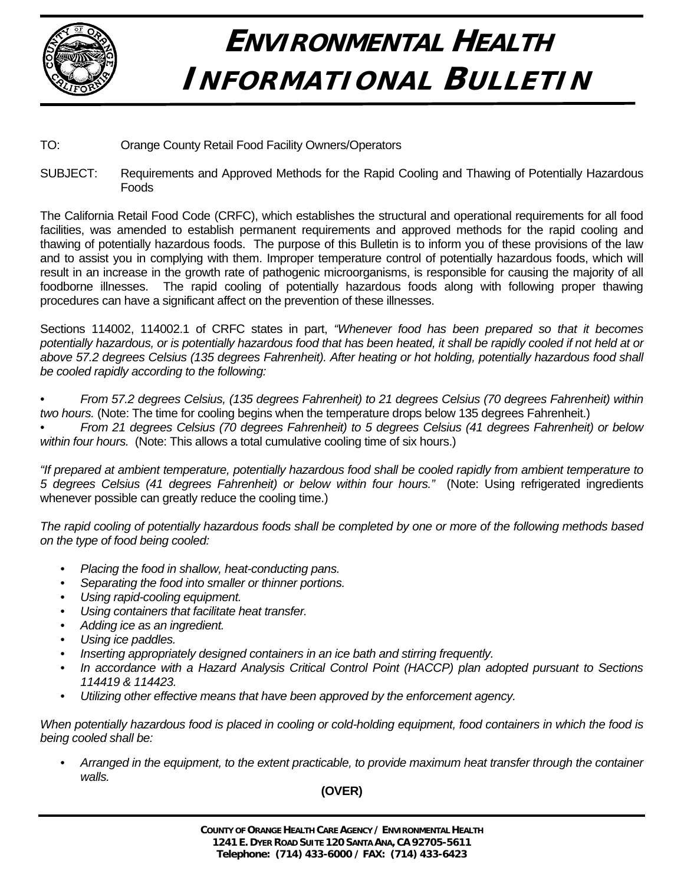

## **ENVIRONMENTAL HEALTH INFORMATIONAL BULLETIN**

- TO: Orange County Retail Food Facility Owners/Operators
- SUBJECT: Requirements and Approved Methods for the Rapid Cooling and Thawing of Potentially Hazardous Foods

The California Retail Food Code (CRFC), which establishes the structural and operational requirements for all food facilities, was amended to establish permanent requirements and approved methods for the rapid cooling and thawing of potentially hazardous foods. The purpose of this Bulletin is to inform you of these provisions of the law and to assist you in complying with them. Improper temperature control of potentially hazardous foods, which will result in an increase in the growth rate of pathogenic microorganisms, is responsible for causing the majority of all foodborne illnesses. The rapid cooling of potentially hazardous foods along with following proper thawing procedures can have a significant affect on the prevention of these illnesses.

Sections 114002, 114002.1 of CRFC states in part, *"Whenever food has been prepared so that it becomes potentially hazardous, or is potentially hazardous food that has been heated, it shall be rapidly cooled if not held at or*  above 57.2 degrees Celsius (135 degrees Fahrenheit). After heating or hot holding, potentially hazardous food shall *be cooled rapidly according to the following:* 

*• From 57.2 degrees Celsius, (135 degrees Fahrenheit) to 21 degrees Celsius (70 degrees Fahrenheit) within two hours.* (Note: The time for cooling begins when the temperature drops below 135 degrees Fahrenheit.)

*• From 21 degrees Celsius (70 degrees Fahrenheit) to 5 degrees Celsius (41 degrees Fahrenheit) or below within four hours.* (Note: This allows a total cumulative cooling time of six hours.)

*"If prepared at ambient temperature, potentially hazardous food shall be cooled rapidly from ambient temperature to 5 degrees Celsius (41 degrees Fahrenheit) or below within four hours."* (Note: Using refrigerated ingredients whenever possible can greatly reduce the cooling time.)

*The rapid cooling of potentially hazardous foods shall be completed by one or more of the following methods based on the type of food being cooled:*

- *Placing the food in shallow, heat-conducting pans.*
- *Separating the food into smaller or thinner portions.*
- *Using rapid-cooling equipment.*
- *Using containers that facilitate heat transfer.*
- *Adding ice as an ingredient.*
- *Using ice paddles.*
- *Inserting appropriately designed containers in an ice bath and stirring frequently.*
- *In accordance with a Hazard Analysis Critical Control Point (HACCP) plan adopted pursuant to Sections 114419 & 114423.*
- *Utilizing other effective means that have been approved by the enforcement agency.*

*When potentially hazardous food is placed in cooling or cold-holding equipment, food containers in which the food is being cooled shall be:* 

 *• Arranged in the equipment, to the extent practicable, to provide maximum heat transfer through the container walls.* 

## **(OVER)**